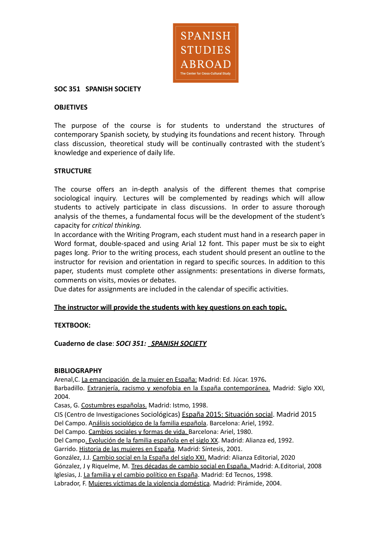

# **SOC 351 SPANISH SOCIETY**

#### **OBJETIVES**

The purpose of the course is for students to understand the structures of contemporary Spanish society, by studying its foundations and recent history. Through class discussion, theoretical study will be continually contrasted with the student's knowledge and experience of daily life.

### **STRUCTURE**

The course offers an in-depth analysis of the different themes that comprise sociological inquiry. Lectures will be complemented by readings which will allow students to actively participate in class discussions. In order to assure thorough analysis of the themes, a fundamental focus will be the development of the student's capacity for *critical thinking.*

In accordance with the Writing Program, each student must hand in a research paper in Word format, double-spaced and using Arial 12 font. This paper must be six to eight pages long. Prior to the writing process, each student should present an outline to the instructor for revision and orientation in regard to specific sources. In addition to this paper, students must complete other assignments: presentations in diverse formats, comments on visits, movies or debates.

Due dates for assignments are included in the calendar of specific activities.

#### **The instructor will provide the students with key questions on each topic.**

# **TEXTBOOK:**

**Cuaderno de clase**: *SOCI 351: SPANISH SOCIETY*

#### **BIBLIOGRAPHY**

Arenal,C. La emancipación de la mujer en España: Madrid: Ed. Júcar. 1976**.**

Barbadillo. Extranjería, racismo y xenofobia en la España contemporánea. Madrid: Siglo XXI, 2004.

Casas, G. Costumbres españolas. Madrid: Istmo, 1998.

CIS (Centro de Investigaciones Sociológicas) España 2015: Situación social. Madrid 2015

Del Campo. Análisis sociológico de la familia española. Barcelona: Ariel, 1992.

Del Campo. Cambios sociales y formas de vida. Barcelona: Ariel, 1980.

Del Campo. Evolución de la familia española en el siglo XX. Madrid: Alianza ed, 1992.

Garrido. Historia de las mujeres en España. Madrid: Síntesis, 2001.

González, J.J. Cambio social en la España del siglo XXI. Madrid: Alianza Editorial, 2020

Gónzalez, J y Riquelme, M. Tres décadas de cambio social en España. Madrid: A.Editorial, 2008

Iglesias, J. La familia y el cambio político en España. Madrid: Ed Tecnos, 1998.

Labrador, F. Mujeres víctimas de la violencia doméstica. Madrid: Pirámide, 2004.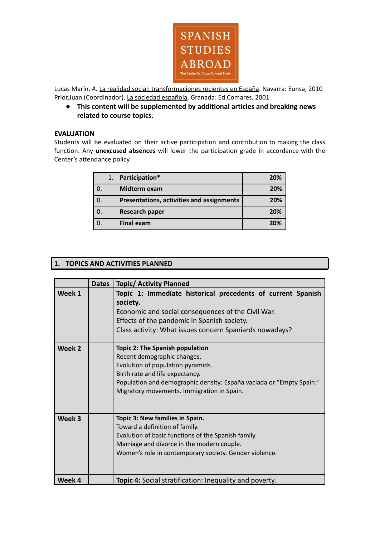

Lucas Marín, *A.* La realidad social: transformaciones recientes en España. Navarra: Eunsa, 2010 Prior,Juan (Coordinador). La sociedad española. Granada: Ed.Comares, 2001

**● This content will be supplemented by additional articles and breaking news related to course topics.**

### **EVALUATION**

Students will be evaluated on their active participation and contribution to making the class function. Any **unexcused absences** will lower the participation grade in accordance with the Center's attendance policy.

|    | 1. | Participation*                            | 20% |
|----|----|-------------------------------------------|-----|
|    |    | Midterm exam                              | 20% |
| 0. |    | Presentations, activities and assignments | 20% |
|    |    | <b>Research paper</b>                     | 20% |
|    |    | <b>Final exam</b>                         | 20% |

# **1. TOPICS AND ACTIVITIES PLANNED**

|        | <b>Dates</b> | <b>Topic/ Activity Planned</b>                                                                                                                                                                                                                                      |
|--------|--------------|---------------------------------------------------------------------------------------------------------------------------------------------------------------------------------------------------------------------------------------------------------------------|
| Week 1 |              | Topic 1: Immediate historical precedents of current Spanish<br>society.<br>Economic and social consequences of the Civil War.<br>Effects of the pandemic in Spanish society.<br>Class activity: What issues concern Spaniards nowadays?                             |
| Week 2 |              | <b>Topic 2: The Spanish population</b><br>Recent demographic changes.<br>Evolution of population pyramids.<br>Birth rate and life expectancy.<br>Population and demographic density: España vaciada or "Empty Spain."<br>Migratory movements. Immigration in Spain. |
| Week 3 |              | Topic 3: New families in Spain.<br>Toward a definition of family.<br>Evolution of basic functions of the Spanish family.<br>Marriage and divorce in the modern couple.<br>Women's role in contemporary society. Gender violence.                                    |
| Week 4 |              | <b>Topic 4:</b> Social stratification: Inequality and poverty.                                                                                                                                                                                                      |